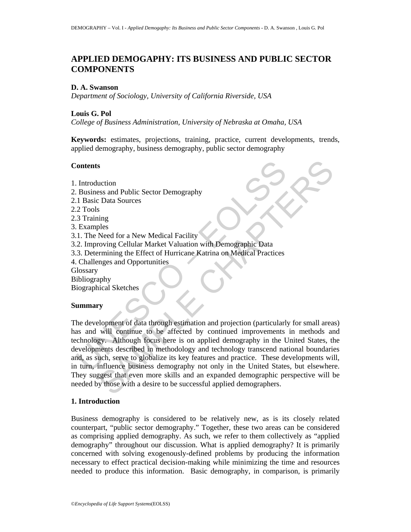# **APPLIED DEMOGAPHY: ITS BUSINESS AND PUBLIC SECTOR COMPONENTS**

#### **D. A. Swanson**

*Department of Sociology, University of California Riverside, USA* 

#### **Louis G. Pol**

*College of Business Administration, University of Nebraska at Omaha, USA* 

**Keywords:** estimates, projections, training, practice, current developments, trends, applied demography, business demography, public sector demography

#### **Contents**

Contents<br>
1. Introduction<br>
2. Introduction<br>
1. Basic Data Sources<br>
2. Tools<br>
3. Training<br>
2. Examples<br>
1.1. The Need for a New Medical Facility<br>
1. The Need for a New Medical Facility<br>
2. Improving Cellular Market Valuatio 1. Introduction 2. Business and Public Sector Demography 2.1 Basic Data Sources 2.2 Tools 2.3 Training 3. Examples 3.1. The Need for a New Medical Facility 3.2. Improving Cellular Market Valuation with Demographic Data 3.3. Determining the Effect of Hurricane Katrina on Medical Practices 4. Challenges and Opportunities **Glossary** Bibliography Biographical Sketches

### **Summary**

Sometion<br>
Sess and Public Sector Demography<br>
Celudar Sources<br>
Need for a New Medical Facility<br>
Need for a New Medical Facility<br>
Need for a New Medical Facility<br>
Need Society Celular Market Valuation with Demographic Data<br> The development of data through estimation and projection (particularly for small areas) has and will continue to be affected by continued improvements in methods and technology. Although focus here is on applied demography in the United States, the developments described in methodology and technology transcend national boundaries and, as such, serve to globalize its key features and practice. These developments will, in turn, influence business demography not only in the United States, but elsewhere. They suggest that even more skills and an expanded demographic perspective will be needed by those with a desire to be successful applied demographers.

#### **1. Introduction**

Business demography is considered to be relatively new, as is its closely related counterpart, "public sector demography." Together, these two areas can be considered as comprising applied demography. As such, we refer to them collectively as "applied demography" throughout our discussion. What is applied demography? It is primarily concerned with solving exogenously-defined problems by producing the information necessary to effect practical decision-making while minimizing the time and resources needed to produce this information. Basic demography, in comparison, is primarily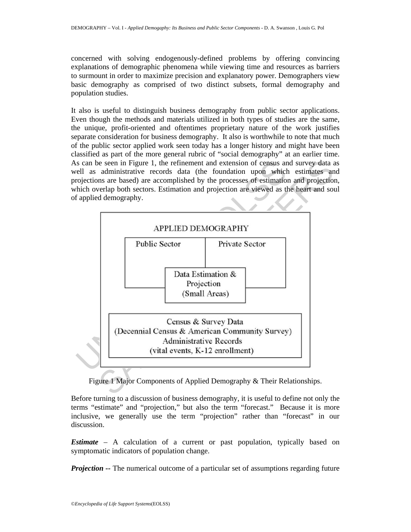concerned with solving endogenously-defined problems by offering convincing explanations of demographic phenomena while viewing time and resources as barriers to surmount in order to maximize precision and explanatory power. Demographers view basic demography as comprised of two distinct subsets, formal demography and population studies.

It also is useful to distinguish business demography from public sector applications. Even though the methods and materials utilized in both types of studies are the same, the unique, profit-oriented and oftentimes proprietary nature of the work justifies separate consideration for business demography. It also is worthwhile to note that much of the public sector applied work seen today has a longer history and might have been classified as part of the more general rubric of "social demography" at an earlier time. As can be seen in Figure 1, the refinement and extension of census and survey data as well as administrative records data (the foundation upon which estimates and projections are based) are accomplished by the processes of estimation and projection, which overlap both sectors. Estimation and projection are viewed as the heart and soul of applied demography.



Figure 1 Major Components of Applied Demography & Their Relationships.

Before turning to a discussion of business demography, it is useful to define not only the terms "estimate" and "projection," but also the term "forecast." Because it is more inclusive, we generally use the term "projection" rather than "forecast" in our discussion.

*Estimate* – A calculation of a current or past population, typically based on symptomatic indicators of population change.

*Projection --* The numerical outcome of a particular set of assumptions regarding future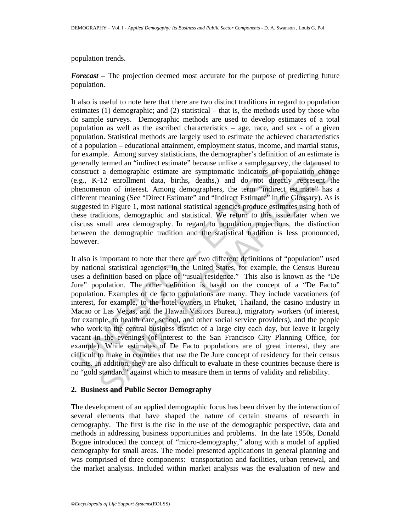#### population trends.

*Forecast* – The projection deemed most accurate for the purpose of predicting future population.

It also is useful to note here that there are two distinct traditions in regard to population estimates (1) demographic; and (2) statistical – that is, the methods used by those who do sample surveys. Demographic methods are used to develop estimates of a total population as well as the ascribed characteristics – age, race, and sex - of a given population. Statistical methods are largely used to estimate the achieved characteristics of a population – educational attainment, employment status, income, and martial status, for example. Among survey statisticians, the demographer's definition of an estimate is generally termed an "indirect estimate" because unlike a sample survey, the data used to construct a demographic estimate are symptomatic indicators of population change (e.g., K-12 enrollment data, births, deaths,) and do not directly represent the phenomenon of interest. Among demographers, the term "indirect estimate" has a different meaning (See "Direct Estimate" and "Indirect Estimate" in the Glossary). As is suggested in Figure 1, most national statistical agencies produce estimates using both of these traditions, demographic and statistical. We return to this issue later when we discuss small area demography. In regard to population projections, the distinction between the demographic tradition and the statistical tradition is less pronounced, however.

enerally termed an "indirect estimate" because unlike a sample survey<br>onstruct a demographic estimate are symptomatic indicators of points.g.g, K-12 enrollment data, birins, deaths,) and do not direct<br>henomenon of interest t termed an "indirect estimate" because unlike a sample survey, the data used to a demographic estimate are symptomatic indicators of population chrage 1-12 enrollment data, births, deaths.) and do not directly represent t It also is important to note that there are two different definitions of "population" used by national statistical agencies. In the United States, for example, the Census Bureau uses a definition based on place of "usual residence." This also is known as the "De Jure" population. The other definition is based on the concept of a "De Facto" population. Examples of de facto populations are many. They include vacationers (of interest, for example, to the hotel owners in Phuket, Thailand, the casino industry in Macao or Las Vegas, and the Hawaii Visitors Bureau), migratory workers (of interest, for example, to health care, school, and other social service providers), and the people who work in the central business district of a large city each day, but leave it largely vacant in the evenings (of interest to the San Francisco City Planning Office, for example). While estimates of De Facto populations are of great interest, they are difficult to make in countries that use the De Jure concept of residency for their census counts. In addition, they are also difficult to evaluate in these countries because there is no "gold standard" against which to measure them in terms of validity and reliability.

### **2. Business and Public Sector Demography**

The development of an applied demographic focus has been driven by the interaction of several elements that have shaped the nature of certain streams of research in demography. The first is the rise in the use of the demographic perspective, data and methods in addressing business opportunities and problems. In the late 1950s, Donald Bogue introduced the concept of "micro-demography," along with a model of applied demography for small areas. The model presented applications in general planning and was comprised of three components: transportation and facilities, urban renewal, and the market analysis. Included within market analysis was the evaluation of new and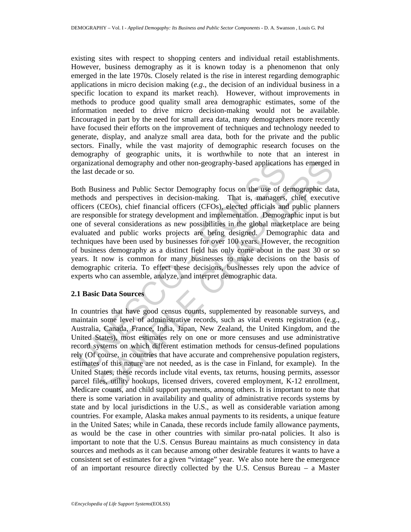existing sites with respect to shopping centers and individual retail establishments. However, business demography as it is known today is a phenomenon that only emerged in the late 1970s. Closely related is the rise in interest regarding demographic applications in micro decision making (*e.g*., the decision of an individual business in a specific location to expand its market reach). However, without improvements in methods to produce good quality small area demographic estimates, some of the information needed to drive micro decision-making would not be available. Encouraged in part by the need for small area data, many demographers more recently have focused their efforts on the improvement of techniques and technology needed to generate, display, and analyze small area data, both for the private and the public sectors. Finally, while the vast majority of demographic research focuses on the demography of geographic units, it is worthwhile to note that an interest in organizational demography and other non-geography-based applications has emerged in the last decade or so.

reganizational demography and other non-geography-based application<br>e last decade or so.<br>oth Business and Public Sector Demography focus on the use of de<br>ethods and perspectives in decision-making. That is, managers,<br>ffice tional demography and other non-geography-based applications has emerged iccade or so.<br>
siness and Public Sector Demography focus on the use of demographic dat<br>
and prespectives in decision-making. That is, manages, chief Both Business and Public Sector Demography focus on the use of demographic data, methods and perspectives in decision-making. That is, managers, chief executive officers (CEOs), chief financial officers (CFOs), elected officials and public planners are responsible for strategy development and implementation. Demographic input is but one of several considerations as new possibilities in the global marketplace are being evaluated and public works projects are being designed. Demographic data and techniques have been used by businesses for over 100 years. However, the recognition of business demography as a distinct field has only come about in the past 30 or so years. It now is common for many businesses to make decisions on the basis of demographic criteria. To effect these decisions, businesses rely upon the advice of experts who can assemble, analyze, and interpret demographic data.

### **2.1 Basic Data Sources**

In countries that have good census counts, supplemented by reasonable surveys, and maintain some level of administrative records, such as vital events registration (e.g., Australia, Canada, France, India, Japan, New Zealand, the United Kingdom, and the United States), most estimates rely on one or more censuses and use administrative record systems on which different estimation methods for census-defined populations rely (Of course, in countries that have accurate and comprehensive population registers, estimates of this nature are not needed, as is the case in Finland, for example). In the United States, these records include vital events, tax returns, housing permits, assessor parcel files, utility hookups, licensed drivers, covered employment, K-12 enrollment, Medicare counts, and child support payments, among others. It is important to note that there is some variation in availability and quality of administrative records systems by state and by local jurisdictions in the U.S., as well as considerable variation among countries. For example, Alaska makes annual payments to its residents, a unique feature in the United Sates; while in Canada, these records include family allowance payments, as would be the case in other countries with similar pro-natal policies. It also is important to note that the U.S. Census Bureau maintains as much consistency in data sources and methods as it can because among other desirable features it wants to have a consistent set of estimates for a given "vintage" year. We also note here the emergence of an important resource directly collected by the U.S. Census Bureau – a Master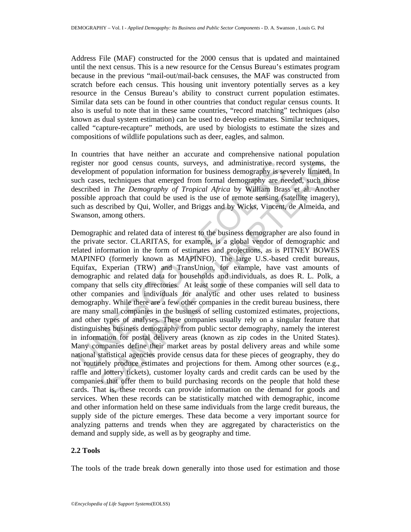Address File (MAF) constructed for the 2000 census that is updated and maintained until the next census. This is a new resource for the Census Bureau's estimates program because in the previous "mail-out/mail-back censuses, the MAF was constructed from scratch before each census. This housing unit inventory potentially serves as a key resource in the Census Bureau's ability to construct current population estimates. Similar data sets can be found in other countries that conduct regular census counts. It also is useful to note that in these same countries, "record matching" techniques (also known as dual system estimation) can be used to develop estimates. Similar techniques, called "capture-recapture" methods, are used by biologists to estimate the sizes and compositions of wildlife populations such as deer, eagles, and salmon.

In countries that have neither an accurate and comprehensive national population register nor good census counts, surveys, and administrative record systems, the development of population information for business demography is severely limited. In such cases, techniques that emerged from formal demography are needed, such those described in *The Demography of Tropical Africa* by William Brass et al. Another possible approach that could be used is the use of remote sensing (satellite imagery), such as described by Qui, Woller, and Briggs and by Wicks, Vincent, de Almeida, and Swanson, among others.

gister nor good census counts, surveys, and administrative recevelopment of population information for business demography is see<br>cucleared that energed from formal demography are necestived in *The Demography of Tropical* nor good census counts, surveys, and administrative record systems, then<br>then to copulation information for business demography are seeds, see<br>thingues that emerged from formatal demography are receded, such those<br>s, techn Demographic and related data of interest to the business demographer are also found in the private sector. CLARITAS, for example, is a global vendor of demographic and related information in the form of estimates and projections, as is PITNEY BOWES MAPINFO (formerly known as MAPINFO). The large U.S.-based credit bureaus, Equifax, Experian (TRW) and TransUnion, for example, have vast amounts of demographic and related data for households and individuals, as does R. L. Polk, a company that sells city directories. At least some of these companies will sell data to other companies and individuals for analytic and other uses related to business demography. While there are a few other companies in the credit bureau business, there are many small companies in the business of selling customized estimates, projections, and other types of analyses. These companies usually rely on a singular feature that distinguishes business demography from public sector demography, namely the interest in information for postal delivery areas (known as zip codes in the United States). Many companies define their market areas by postal delivery areas and while some national statistical agencies provide census data for these pieces of geography, they do not routinely produce estimates and projections for them. Among other sources (e.g., raffle and lottery tickets), customer loyalty cards and credit cards can be used by the companies that offer them to build purchasing records on the people that hold these cards. That is, these records can provide information on the demand for goods and services. When these records can be statistically matched with demographic, income and other information held on these same individuals from the large credit bureaus, the supply side of the picture emerges. These data become a very important source for analyzing patterns and trends when they are aggregated by characteristics on the demand and supply side, as well as by geography and time.

### **2.2 Tools**

The tools of the trade break down generally into those used for estimation and those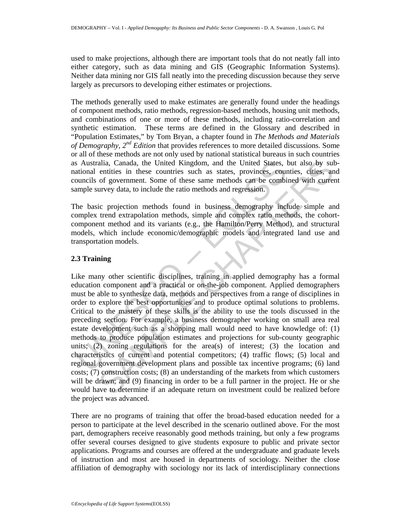used to make projections, although there are important tools that do not neatly fall into either category, such as data mining and GIS (Geographic Information Systems). Neither data mining nor GIS fall neatly into the preceding discussion because they serve largely as precursors to developing either estimates or projections.

The methods generally used to make estimates are generally found under the headings of component methods, ratio methods, regression-based methods, housing unit methods, and combinations of one or more of these methods, including ratio-correlation and synthetic estimation. These terms are defined in the Glossary and described in "Population Estimates," by Tom Bryan, a chapter found in *The Methods and Materials of Demography, 2nd Edition* that provides references to more detailed discussions. Some or all of these methods are not only used by national statistical bureaus in such countries as Australia, Canada, the United Kingdom, and the United States, but also by subnational entities in these countries such as states, provinces, counties, cities, and councils of government. Some of these same methods can be combined with current sample survey data, to include the ratio methods and regression.

The basic projection methods found in business demography include simple and complex trend extrapolation methods, simple and complex ratio methods, the cohortcomponent method and its variants (e.g., the Hamilton/Perry Method), and structural models, which include economic/demographic models and integrated land use and transportation models.

# **2.3 Training**

s Australia, Canada, the United Kingdom, and the United States, lational entities in these countries such as states, provinces, councils of government. Some of these same methods can be combingue survey data, to include th alia, Canada, the United Kingdom, and the United States, but also by sult<br>entities in these countries such as states, provinces, contrices, cointes<br>of government. Some of these same methods can be combined with curre<br>urvey Like many other scientific disciplines, training in applied demography has a formal education component and a practical or on-the-job component. Applied demographers must be able to synthesize data, methods and perspectives from a range of disciplines in order to explore the best opportunities and to produce optimal solutions to problems. Critical to the mastery of these skills is the ability to use the tools discussed in the preceding section. For example, a business demographer working on small area real estate development such as a shopping mall would need to have knowledge of: (1) methods to produce population estimates and projections for sub-county geographic units; (2) zoning regulations for the area(s) of interest; (3) the location and characteristics of current and potential competitors; (4) traffic flows; (5) local and regional government development plans and possible tax incentive programs; (6) land costs; (7) construction costs; (8) an understanding of the markets from which customers will be drawn; and (9) financing in order to be a full partner in the project. He or she would have to determine if an adequate return on investment could be realized before the project was advanced.

There are no programs of training that offer the broad-based education needed for a person to participate at the level described in the scenario outlined above. For the most part, demographers receive reasonably good methods training, but only a few programs offer several courses designed to give students exposure to public and private sector applications. Programs and courses are offered at the undergraduate and graduate levels of instruction and most are housed in departments of sociology. Neither the close affiliation of demography with sociology nor its lack of interdisciplinary connections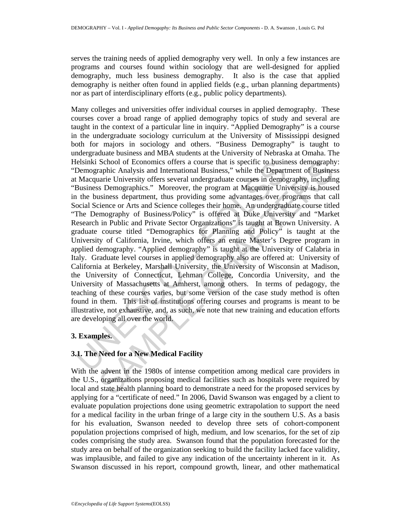serves the training needs of applied demography very well. In only a few instances are programs and courses found within sociology that are well-designed for applied demography, much less business demography. It also is the case that applied demography is neither often found in applied fields (e.g., urban planning departments) nor as part of interdisciplinary efforts (e.g., public policy departments).

felsinki School of Economics offers a course that is specific to busin<br>Demographic Analysis and International Business; "while the Depart<br>Indecquaric University offers several undergraduate courses in demog<br>Business Demogr School of Economics offers a course that is specific to business demography<br>
raphic Analysis and International Business, " while the Department of Busines<br>
rané University offers several undergraduate courses in demography Many colleges and universities offer individual courses in applied demography. These courses cover a broad range of applied demography topics of study and several are taught in the context of a particular line in inquiry. "Applied Demography" is a course in the undergraduate sociology curriculum at the University of Mississippi designed both for majors in sociology and others. "Business Demography" is taught to undergraduate business and MBA students at the University of Nebraska at Omaha. The Helsinki School of Economics offers a course that is specific to business demography: "Demographic Analysis and International Business," while the Department of Business at Macquarie University offers several undergraduate courses in demography, including "Business Demographics." Moreover, the program at Macquarie University is housed in the business department, thus providing some advantages over programs that call Social Science or Arts and Science colleges their home. An undergraduate course titled "The Demography of Business/Policy" is offered at Duke University and "Market Research in Public and Private Sector Organizations" is taught at Brown University. A graduate course titled "Demographics for Planning and Policy" is taught at the University of California, Irvine, which offers an entire Master's Degree program in applied demography. "Applied demography" is taught at the University of Calabria in Italy. Graduate level courses in applied demography also are offered at: University of California at Berkeley, Marshall University, the University of Wisconsin at Madison, the University of Connecticut, Lehman College, Concordia University, and the University of Massachusetts at Amherst, among others. In terms of pedagogy, the teaching of these courses varies, but some version of the case study method is often found in them. This list of institutions offering courses and programs is meant to be illustrative, not exhaustive, and, as such, we note that new training and education efforts are developing all over the world.

# **3. Examples.**

# **3.1. The Need for a New Medical Facility**

With the advent in the 1980s of intense competition among medical care providers in the U.S., organizations proposing medical facilities such as hospitals were required by local and state health planning board to demonstrate a need for the proposed services by applying for a "certificate of need." In 2006, David Swanson was engaged by a client to evaluate population projections done using geometric extrapolation to support the need for a medical facility in the urban fringe of a large city in the southern U.S. As a basis for his evaluation, Swanson needed to develop three sets of cohort-component population projections comprised of high, medium, and low scenarios, for the set of zip codes comprising the study area. Swanson found that the population forecasted for the study area on behalf of the organization seeking to build the facility lacked face validity, was implausible, and failed to give any indication of the uncertainty inherent in it. As Swanson discussed in his report, compound growth, linear, and other mathematical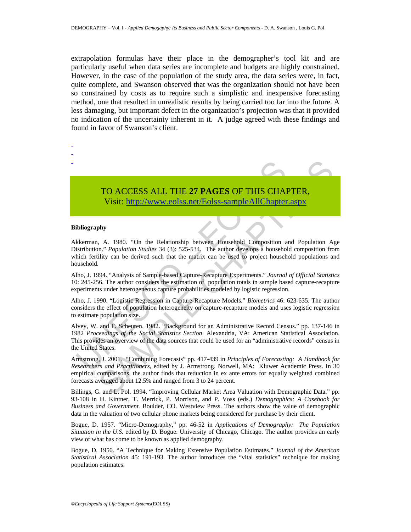extrapolation formulas have their place in the demographer's tool kit and are particularly useful when data series are incomplete and budgets are highly constrained. However, in the case of the population of the study area, the data series were, in fact, quite complete, and Swanson observed that was the organization should not have been so constrained by costs as to require such a simplistic and inexpensive forecasting method, one that resulted in unrealistic results by being carried too far into the future. A less damaging, but important defect in the organization's projection was that it provided no indication of the uncertainty inherent in it. A judge agreed with these findings and found in favor of Swanson's client.



#### **Bibliography**

- - -

Akkerman, A. 1980. "On the Relationship between Household Composition and Population Age Distribution." *Population Studies* 34 (3): 525-534. The author develops a household composition from which fertility can be derived such that the matrix can be used to project household populations and household.

Alho, J. 1994. "Analysis of Sample-based Capture-Recapture Experiments." *Journal of Official Statistics* 10: 245-256. The author considers the estimation of population totals in sample based capture-recapture experiments under heterogeneous capture probabilities modeled by logistic regression.

Alho, J. 1990. "Logistic Regression in Capture-Recapture Models." *Biometrics* 46: 623-635. The author considers the effect of population heterogeneity on capture-recapture models and uses logistic regression to estimate population size.

TO ACCESS ALL THE 27 PAGES OF THIS CHA<br>Visit: http://www.colss.net/Eolss-sampleAllChapter<br>ibliography<br>ibliography<br>is invitainon. "Population Studies 34 (3): 525-534, The author develops a household<br>inclusive can be derived **TO ACCESS ALL THE 27 PAGES OF THIS CHAP[TER](https://www.eolss.net/ebooklib/sc_cart.aspx?File=E6-147-11),**<br>Visit: http://www.ecolss.net/Eolss-sampleAllChapter.aspx<br>by<br> $A$ . 1980. "On the Relationship between Household Composition and Population  $A_0$ ." Population Studies 34 (3): 525 Alvey, W. and F. Scheuren. 1982. "Background for an Administrative Record Census." pp. 137-146 in 1982 *Proceedings of the Social Statistics Section*. Alexandria, VA: American Statistical Association. This provides an overview of the data sources that could be used for an "administrative records" census in the United States.

Armstrong, J. 2001. "Combining Forecasts" pp. 417-439 in *Principles of Forecasting: A Handbook for Researchers and Practitioners,* edited by J. Armstrong. Norwell, MA: Kluwer Academic Press. In 30 empirical comparisons, the author finds that reduction in ex ante errors for equally weighted combined forecasts averaged about 12.5% and ranged from 3 to 24 percent.

Billings, G. and L. Pol. 1994. "Improving Cellular Market Area Valuation with Demographic Data." pp. 93-108 in H. Kintner, T. Merrick, P. Morrison, and P. Voss (eds.) *Demographics: A Casebook for Business and Government.* Boulder, CO. Westview Press. The authors show the value of demographic data in the valuation of two cellular phone markets being considered for purchase by their client.

Bogue, D. 1957. "Micro-Demography," pp. 46-52 in *Applications of Demography: The Population Situation in the U.S.* edited by D. Bogue. University of Chicago, Chicago. The author provides an early view of what has come to be known as applied demography.

Bogue, D. 1950. "A Technique for Making Extensive Population Estimates." *Journal of the American Statistical Association* 45: 191-193. The author introduces the "vital statistics" technique for making population estimates.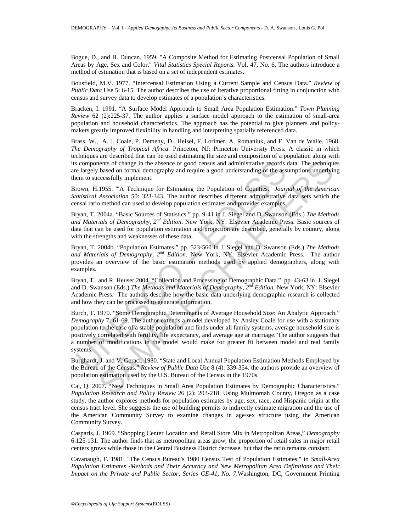Bogue, D., and B. Duncan. 1959. "A Composite Method for Estimating Postcensal Population of Small Areas by Age, Sex and Color." *Vital Statistics Special Reports.* Vol. 47, No. 6. The authors introduce a method of estimation that is based on a set of independent estimates.

Bousfield, M.V. 1977. "Intercensal Estimation Using a Current Sample and Census Data." *Review of Public Data* Use 5: 6-15. The author describes the use of iterative proportional fitting in conjunction with census and survey data to develop estimates of a population's characteristics.

Bracken, I. 1991. "A Surface Model Approach to Small Area Population Estimation." *Town Planning Review* 62 (2):225-37. The author applies a surface model approach to the estimation of small-area population and household characteristics. The approach has the potential to give planners and policymakers greatly improved flexibility in handling and interpreting spatially referenced data.

Brass, W., A. J. Coale, P. Demeny, D.. Heisel, F. Lorimer, A. Romaniuk, and E. Van de Walle. 1968. *The Demography of Tropical Africa*. Princeton, NJ: Princeton University Press. A classic in which techniques are described that can be used estimating the size and composition of a population along with its components of change in the absence of good census and administrative records data. The techniques are largely based on formal demography and require a good understanding of the assumptions underlying them to successfully implement.

Brown, H.1955. '"A Technique for Estimating the Population of Counties." *Journal of the American Statistical Association* 50: 323-343. The author describes different administrative data sets which the censal ratio method can used to develop population estimates and provides examples.

Bryan, T. 2004a. "Basic Sources of Statistics." pp. 9-41 in J. Siegel and D. Swanson (Eds.) *The Methods and Materials of Demography, 2nd Edition*. New York, NY: Elsevier Academic Press. Basic sources of data that can be used for population estimation and projection are described, generally by country, along with the strengths and weaknesses of these data.

Bryan, T. 2004b. "Population Estimates." pp. 523-560 in J. Siegel and D. Swanson (Eds.) *The Methods and Materials of Demography, 2nd Edition*. New York, NY: Elsevier Academic Press. The author provides an overview of the basic estimation methods used by applied demographers, along with examples.

Bryan, T. and R. Heuser 2004. "Collection and Processing of Demographic Data." pp. 43-63 in J. Siegel and D. Swanson (Eds.) *The Methods and Materials of Demography, 2nd Edition*. New York, NY: Elsevier Academic Press. The authors describe how the basic data underlying demographic research is collected and how they can be processed to generate information.

s components of change in the absence of good census and administrative records a<br>elargely baased on formal demography and require a good understanding of the assem to successfully implement.<br>From the successfully implemen neats of change in the absence of good census and administrative records data. The technique based on formal demography and require a good understanding of the assumptions underly in<br>cocessfully implement.<br>
1955. "A Techni Burch, T. 1970. "Some Demographic Determinants of Average Household Size: An Analytic Approach." *Demography* 7: 61-69. The author extends a model developed by Ansley Coale for use with a stationary population to the case of a stable population and finds under all family systems, average household size is positively correlated with fertility, life expectancy, and average age at marriage. The author suggests that a number of modifications in the model would make for greater fit between model and real family systems.

Burghardt, J. and V. Geraci. 1980. "State and Local Annual Population Estimation Methods Employed by the Bureau of the Census." *Review of Public Data Use* 8 (4): 339-354. the authors provide an overview of population estimation used by the U.S. Bureau of the Census in the 1970s.

Cai, Q. 2007. "New Techniques in Small Area Population Estimates by Demographic Characteristics." *Population Research and Policy Review* 26 (2): 203-218. Using Multnomah County, Oregon as a case study, the author explores methods for population estimates by age, sex, race, and Hispanic origin at the census tract level. She suggests the use of building permits to indirectly estimate migration and the use of the American Community Survey to examine changes in age/sex structure using the American Community Survey.

Casparis, J. 1969. "Shopping Center Location and Retail Store Mix in Metropolitan Areas," *Demography* 6:125-131. The author finds that as metropolitan areas grow, the proportion of retail sales in major retail centers grows while those in the Central Business District decrease, but that the ratio remains constant.

Cavanaugh, F. 1981. "The Census Bureau's 1980 Census Test of Population Estimates," in *Small-Area Population Estimates -Methods and Their Accuracy and New Metropolitan Area Definitions and Their Impact on the Private and Public Sector, Series GE-41, No. 7*.Washington, DC, Government Printing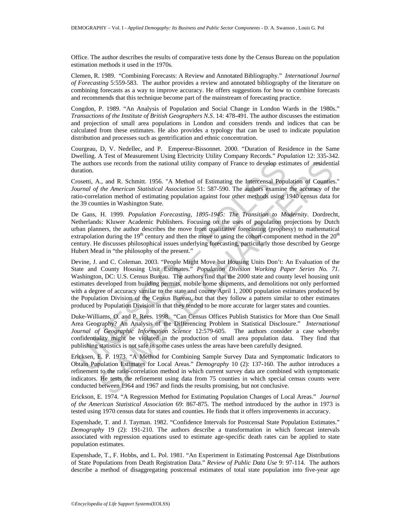Office. The author describes the results of comparative tests done by the Census Bureau on the population estimation methods it used in the 1970s.

Clemen, R. 1989. "Combining Forecasts: A Review and Annotated Bibliography." *International Journal of Forecasting* 5:559-583. The author provides a review and annotated bibliography of the literature on combining forecasts as a way to improve accuracy. He offers suggestions for how to combine forecasts and recommends that this technique become part of the mainstream of forecasting practice.

Congdon, P. 1989. "An Analysis of Population and Social Change in London Wards in the 1980s." *Transactions of the Institute of British Geographers N.S*. 14: 478-491. The author discusses the estimation and projection of small area populations in London and considers trends and indices that can be calculated from these estimates. He also provides a typology that can be used to indicate population distribution and processes such as gentrification and ethnic concentration.

Courgeau, D, V. Nedellec, and P. Empereur-Bissonnet. 2000. "Duration of Residence in the Same Dwelling. A Test of Measurement Using Electricity Utility Company Records." *Population* 12: 335-342. The authors use records from the national utility company of France to develop estimates of residential duration.

Crosetti, A., and R. Schmitt. 1956. "A Method of Estimating the Intercensal Population of Counties." *Journal of the American Statistical Association* 51: 587-590. The authors examine the accuracy of the ratio-correlation method of estimating population against four other methods using 1940 census data for the 39 counties in Washington State.

De Gans, H. 1999. *Population Forecasting, 1895-1945: The Transition to Modernity*. Dordrecht, Netherlands: Kluwer Academic Publishers. Focusing on the uses of population projections by Dutch urban planners, the author describes the move from qualitative forecasting (prophesy) to mathematical extrapolation during the  $19<sup>th</sup>$  century and then the move to using the cohort-component method in the  $20<sup>th</sup>$ century. He discusses philosophical issues underlying forecasting, particularly those described by George Hubert Mead in "the philosophy of the present."

he authors use records from the national utility company of France to develop esti-<br>aration.<br>
morstit, A., and R. Schmitt. 1956. "A Method of Estimating the Intercensal Popurarul of the American Statistical Association 51 Is use records from the national utility company of France to develop estimates of residential,  $\alpha$ , and R. Schmitt. 1956. "A Method of Estimating the Intercensal Population of Counflest the American Statistical Associat Devine, J. and C. Coleman. 2003. "People Might Move but Housing Units Don't: An Evaluation of the State and County Housing Unit Estimates." *Population Division Working Paper Series No. 71*. Washington, DC: U.S. Census Bureau. The authors find that the 2000 state and county level housing unit estimates developed from building permits, mobile home shipments, and demolitions not only performed with a degree of accuracy similar to the state and county April 1, 2000 population estimates produced by the Population Division of the Census Bureau, but that they follow a pattern similar to other estimates produced by Population Division in that they tended to be more accurate for larger states and counties.

Duke-Williams, O. and P. Rees. 1998. "Can Census Offices Publish Statistics for More than One Small Area Geography? An Analysis of the Differencing Problem in Statistical Disclosure." *International Journal of Geographic Information Science* 12:579-605. The authors consider a case whereby confidentiality might be violated in the production of small area population data. They find that publishing statistics is not safe in some cases unless the areas have been carefully designed.

Ericksen, E. P. 1973. "A Method for Combining Sample Survey Data and Symptomatic Indicators to Obtain Population Estimates for Local Areas." *Demography* 10 (2): 137-160. The author introduces a refinement to the ratio-correlation method in which current survey data are combined with symptomatic indicators. He tests the refinement using data from 75 counties in which special census counts were conducted between 1964 and 1967 and finds the results promising, but not conclusive.

Erickson, E. 1974. "A Regression Method for Estimating Population Changes of Local Areas." *Journal of the American Statistical Association* 69: 867-875. The method introduced by the author in 1973 is tested using 1970 census data for states and counties. He finds that it offers improvements in accuracy.

Espenshade, T. and J. Tayman. 1982. "Confidence Intervals for Postcensal State Population Estimates." *Demography* 19 (2): 191-210. The authors describe a transformation in which forecast intervals associated with regression equations used to estimate age-specific death rates can be applied to state population estimates.

Espenshade, T., F. Hobbs, and L. Pol. 1981. "An Experiment in Estimating Postcensal Age Distributions of State Populations from Death Registration Data." *Review of Public Data Use* 9: 97-114. The authors describe a method of disaggregating postcensal estimates of total state population into five-year age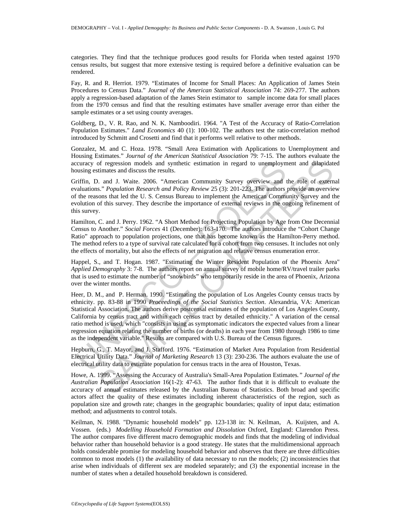categories. They find that the technique produces good results for Florida when tested against 1970 census results, but suggest that more extensive testing is required before a definitive evaluation can be rendered.

Fay, R. and R. Herriot. 1979. "Estimates of Income for Small Places: An Application of James Stein Procedures to Census Data." *Journal of the American Statistical Association* 74: 269-277. The authors apply a regression-based adaptation of the James Stein estimator to sample income data for small places from the 1970 census and find that the resulting estimates have smaller average error than either the sample estimates or a set using county averages.

Goldberg, D., V. R. Rao, and N. K. Namboodiri. 1964. "A Test of the Accuracy of Ratio-Correlation Population Estimates." *Land Economics* 40 (1): 100-102. The authors test the ratio-correlation method introduced by Schmitt and Crosetti and find that it performs well relative to other methods.

Gonzalez, M. and C. Hoza. 1978. "Small Area Estimation with Applications to Unemployment and Housing Estimates." *Journal of the American Statistical Association* 79: 7-15. The authors evaluate the accuracy of regression models and synthetic estimation in regard to unemployment and dilapidated housing estimates and discuss the results.

Griffin, D. and J. Waite. 2006. "American Community Survey overview and the role of external evaluations." *Population Research and Policy Review* 25 (3): 201-223. The authors provide an overview of the reasons that led the U. S. Census Bureau to implement the American Community Survey and the evolution of this survey. They describe the importance of external reviews in the ongoing refinement of this survey.

Hamilton, C. and J. Perry. 1962. "A Short Method for Projecting Population by Age from One Decennial Census to Another." *Social Forces* 41 (December): 163-170. The authors introduce the "Cohort Change Ratio" approach to population projections, one that has become known as the Hamilton-Perry method. The method refers to a type of survival rate calculated for a cohort from two censuses. It includes not only the effects of mortality, but also the effects of net migration and relative census enumeration error.

Happel, S., and T. Hogan. 1987. "Estimating the Winter Resident Population of the Phoenix Area" *Applied Demography* 3: 7-8. The authors report on annual survey of mobile home/RV/travel trailer parks that is used to estimate the number of "snowbirds" who temporarily reside in the area of Phoenix, Arizona over the winter months.

ccuracy of regression models and synthetic estimation in regard to unemploym<br>using estimates and discuss the results.<br>
infin, D. and J. Waite. 2006. "American Community Survey overview and<br>
infin, D. and J. Waite. 2006. "A of regression models and synthetic estimation in regard to unemployment and dilapidate<br>timates and discuss the results.<br>
i. and J. Waite. 2006. "American Community Survey overview and the role of extern<br>
i. and J. Waite. Heer, D. M., and P. Herman. 1990. "Estimating the population of Los Angeles County census tracts by ethnicity. pp. 83-88 in 1990 *Proceedings of the Social Statistics Section*. Alexandria, VA: American Statistical Association. The authors derive postcensal estimates of the population of Los Angeles County, California by census tract and within each census tract by detailed ethnicity." A variation of the censal ratio method is used, which "consists in using as symptomatic indicators the expected values from a linear regression equation relating the number of births (or deaths) in each year from 1980 through 1986 to time as the independent variable." Results are compared with U.S. Bureau of the Census figures.

Hepburn, G., T. Mayor, and J. Stafford. 1976. "Estimation of Market Area Population from Residential Electrical Utility Data." *Journal of Marketing Research* 13 (3): 230-236. The authors evaluate the use of electrical utility data to estimate population for census tracts in the area of Houston, Texas.

Howe, A. 1999. "Assessing the Accuracy of Australia's Small-Area Population Estimates*." Journal of the Australian Population Association* 16(1-2): 47-63. The author finds that it is difficult to evaluate the accuracy of annual estimates released by the Australian Bureau of Statistics. Both broad and specific actors affect the quality of these estimates including inherent characteristics of the region, such as population size and growth rate; changes in the geographic boundaries; quality of input data; estimation method; and adjustments to control totals.

Keilman, N. 1988. "Dynamic household models" pp. 123-138 in: N. Keilman, A. Kuijsten, and A. Vossen. (eds.) *Modelling Household Formation and Dissolution* Oxford, England: Clarendon Press. The author compares five different macro demographic models and finds that the modeling of individual behavior rather than household behavior is a good strategy. He states that the multidimensional approach holds considerable promise for modeling household behavior and observes that there are three difficulties common to most models (1) the availability of data necessary to run the models; (2) inconsistencies that arise when individuals of different sex are modeled separately; and (3) the exponential increase in the number of states when a detailed household breakdown is considered.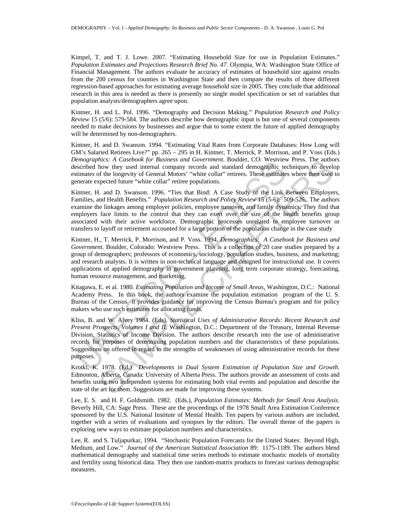Kimpel, T. and T. J. Lowe. 2007. "Estimating Household Size for use in Population Estimates." *Population Estimates and Projections Research Brief No. 47*. Olympia, WA: Washington State Office of Financial Management. The authors evaluate he accuracy of estimates of household size against results from the 200 census for counties in Washington State and then compare the results of three different regression-based approaches for estimating average household size in 2005. They conclude that additional research in this area is needed as there is presently no single model specification or set of variables that population analysts/demographers agree upon.

Kintner, H. and L. Pol. 1996. "Demography and Decision Making." *Population Research and Policy Review* 15 (5/6): 579-584. The authors describe how demographic input is but one of several components needed to make decisions by businesses and argue that to some extent the future of applied demography will be determined by non-demographers.

Kintner, H. and D. Swanson. 1994. "Estimating Vital Rates from Corporate Databases: How Long will GM's Salaried Retirees Live?" pp. 265 – 295 in H. Kintner, T. Merrick, P. Morrison, and P. Voss (Eds.) *Demographics: A Casebook for Business and Government*. Boulder, CO: Westview Press. The authors described how they used internal company records and standard demographic techniques to develop estimates of the longevity of General Motors' "white collar" retirees. These estimates where then used to generate expected future "white collar" retiree populations.

Kintner, H. and D. Swanson. 1996. "Ties that Bind: A Case Study of the Link Between Employers, Families, and Health Benefits." *Population Research and Policy Review* 15 (5-6): 509-526. The authors examine the linkages among employer policies, employee turnover, and family dynamics. They find that employers face limits to the control that they can exert over the size of the health benefits group associated with their active workforce. Demographic processes unrelated to employee turnover or transfers to layoff or retirement accounted for a large portion of the population change in the case study

Kintner, H., T. Merrick, P. Morrison, and P. Voss. 1994. *Demographics: A Casebook for Business and Government*. Boulder, Colorado: Westview Press. This is a collection of 20 case studies prepared by a group of demographers; professors of economics, sociology, population studies, business, and marketing; and research analysts. It is written in non-technical language and designed for instructional use. It covers applications of applied demography in government planning, long term corporate strategy, forecasting, human resource management, and marketing.

Kitagawa, E. et al*.* 1980. *Estimating Population and Income of Small Areas*. Washington, D.C.: National Academy Press. In this book, the authors examine the population estimation program of the U. S. Bureau of the Census it provides guidance for improving the Census Bureau's program and for policy makers who use such estimates for allocating funds.

*emayoumes:* A Cazebook for business and Government. Bonder, CO: wesvive the charge inputes: A Cazebook for business and companyine iteration of the longevity of General Motors' "white collar" retires. These estimate terre Mex: A Casebook for Business and Government. Buoluer, CO: Westwav Press. The author<br>thow they used internal company records and standard demographic techniques to develop<br>for the longevity of General Motors' "white collar Kliss, B. and W. Alvey 1984. (Eds). *Statistical Uses of Administrative Records: Recent Research and Present Prospects, Volumes I and II.* Washington, D.C.: Department of the Treasury, Internal Revenue Division, Statistics of Income Division. The authors describe research into the use of administrative records for purposes of determining population numbers and the characteristics of these populations. Suggestions on offered in regard to the strengths of weaknesses of using administrative records for these purposes.

Krotki, K. 1978. (Ed.) *Developments in Dual System Estimation of Population Size and Growth*. Edmonton, Alberta, Canada: University of Alberta Press. The authors provide an assessment of costs and benefits using two independent systems for estimating both vital events and population and describe the state of the art for them. Suggestions are made for improving these systems.

Lee, E. S. and H. F. Goldsmith. 1982. (Eds.), *Population Estimates: Methods for Small Area Analysis*. Beverly Hill, CA: Sage Press. These are the proceedings of the 1978 Small Area Estimation Conference sponsored by the U.S. National Institute of Mental Health. Ten papers by various authors are included, together with a series of evaluations and synopses by the editors. The overall theme of the papers is exploring new ways to estimate population numbers and characteristics.

Lee, R. and S. Tuljapurkar, 1994. "Stochastic Population Forecasts for the United States: Beyond High, Medium, and Low." *Journal of the American Statistical Association* 89: 1175-1189. The authors blend mathematical demography and statistical time series methods to estimate stochastic models of mortality and fertility using historical data. They then use random-matrix products to forecast various demographic measures.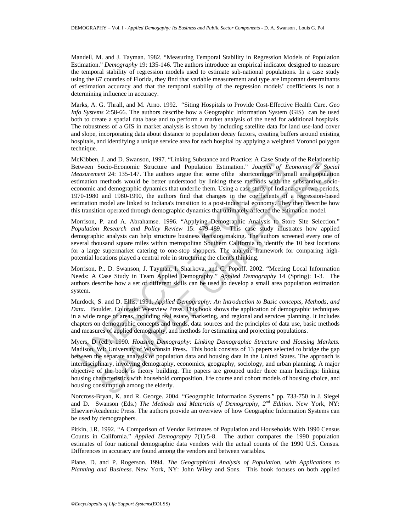Mandell, M. and J. Tayman. 1982. "Measuring Temporal Stability in Regression Models of Population Estimation." *Demography* 19: 135-146. The authors introduce an empirical indicator designed to measure the temporal stability of regression models used to estimate sub-national populations. In a case study using the 67 counties of Florida, they find that variable measurement and type are important determinants of estimation accuracy and that the temporal stability of the regression models' coefficients is not a determining influence in accuracy.

Marks, A. G. Thrall, and M. Arno. 1992. "Siting Hospitals to Provide Cost-Effective Health Care. *Geo Info Systems* 2:58-66. The authors describe how a Geographic Information System (GIS) can be used both to create a spatial data base and to perform a market analysis of the need for additional hospitals. The robustness of a GIS in market analysis is shown by including satellite data for land use-land cover and slope, incorporating data about distance to population decay factors, creating buffers around existing hospitals, and identifying a unique service area for each hospital by applying a weighted Voronoi polygon technique.

Extrabetion. 13 and D. Swanson, 1991. Linking Substace and Practice: A Case Suday<br>ettween Socio-Economic Structure and Population Estimation." *Journal of E*<br>detaurement 24: 135-147. The authors argue that some ofthe shor J. and D. Swanson, 1997. "Thanking substance and Fractice: A Case Study of the Relationship<br>Socio-Economic Structure and Population Estimation." Journal of Economic & Socio-<br>methods would be better understood by linking t McKibben, J. and D. Swanson, 1997. "Linking Substance and Practice: A Case Study of the Relationship Between Socio-Economic Structure and Population Estimation." *Journal of Economic & Social Measurement* 24: 135-147. The authors argue that some ofthe shortcomings in small area population estimation methods would be better understood by linking these methods with the substantive socioeconomic and demographic dynamics that underlie them. Using a case study of Indiana over two periods, 1970-1980 and 1980-1990, the authors find that changes in the coefficients of a regression-based estimation model are linked to Indiana's transition to a post-industrial economy. They then describe how this transition operated through demographic dynamics that ultimately affected the estimation model.

Morrison, P. and A. Abrahamse. 1996. "Applying Demographic Analysis to Store Site Selection." *Population Research and Policy Review* 15: 479-489. This case study illustrates how applied demographic analysis can help structure business decision making. The authors screened every one of several thousand square miles within metropolitan Southern California to identify the 10 best locations for a large supermarket catering to one-stop shoppers. The analytic framework for comparing highpotential locations played a central role in structuring the client's thinking.

Morrison, P., D. Swanson, J. Tayman, I. Sharkova, and C. Popoff. 2002. "Meeting Local Information Needs: A Case Study in Team Applied Demography." *Applied Demography* 14 (Spring): 1-3. The authors describe how a set of different skills can be used to develop a small area population estimation system.

Murdock, S. and D. Ellis. 1991. *Applied Demography: An Introduction to Basic concepts, Methods, and Data.* Boulder, Colorado: Westview Press. This book shows the application of demographic techniques in a wide range of areas, including real estate, marketing, and regional and services planning. It includes chapters on demographic concepts and trends, data sources and the principles of data use, basic methods and measures of applied demography, and methods for estimating and projecting populations.

Myers, D (ed.). 1990. *Housing Demography: Linking Demographic Structure and Housing Markets*. Madison, WI: University of Wisconsin Press. This book consists of 13 papers selected to bridge the gap between the separate analysis of population data and housing data in the United States. The approach is interdisciplinary, involving demography, economics, geography, sociology, and urban planning. A major objective of the book is theory building. The papers are grouped under three main headings: linking housing characteristics with household composition, life course and cohort models of housing choice, and housing consumption among the elderly.

Norcross-Bryan, K. and R. George. 2004. "Geographic Information Systems." pp. 733-750 in J. Siegel and D. Swanson (Eds.) *The Methods and Materials of Demography, 2nd Edition*. New York, NY: Elsevier/Academic Press. The authors provide an overview of how Geographic Information Systems can be used by demographers.

Pitkin, J.R. 1992. "A Comparison of Vendor Estimates of Population and Households With 1990 Census Counts in California." *Applied Demography* 7(1):5-8. The author compares the 1990 population estimates of four national demographic data vendors with the actual counts of the 1990 U.S. Census. Differences in accuracy are found among the vendors and between variables.

Plane, D. and P. Rogerson. 1994. *The Geographical Analysis of Population, with Applications to Planning and Business*. New York, NY: John Wiley and Sons. This book focuses on both applied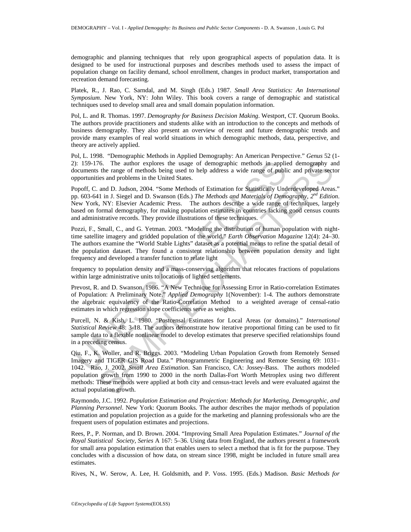demographic and planning techniques that rely upon geographical aspects of population data. It is designed to be used for instructional purposes and describes methods used to assess the impact of population change on facility demand, school enrollment, changes in product market, transportation and recreation demand forecasting.

Platek, R., J. Rao, C. Sarndal, and M. Singh (Eds.) 1987. *Small Area Statistics: An International Symposium*. New York, NY: John Wiley. This book covers a range of demographic and statistical techniques used to develop small area and small domain population information.

Pol, L. and R. Thomas. 1997. *Demography for Business Decision Making*. Westport, CT. Quorum Books. The authors provide practitioners and students alike with an introduction to the concepts and methods of business demography. They also present an overview of recent and future demographic trends and provide many examples of real world situations in which demographic methods, data, perspective, and theory are actively applied.

Pol, L. 1998. "Demographic Methods in Applied Demography: An American Perspective." *Genus* 52 (1- 2): 159-176. The author explores the usage of demographic methods in applied demography and documents the range of methods being used to help address a wide range of public and private sector opportunities and problems in the United States.

1: 159-176. The author explores the usage of demographic methods in applicant<br>neuramest the range of methods being used to help address a wide range of publi<br>poprtunities and problems in the United States.<br>Oporff, C. and Popoff, C. and D. Judson, 2004. "Some Methods of Estimation for Statistically Underdeveloped Areas." pp. 603-641 in J. Siegel and D. Swanson (Eds.) *The Methods and Materials of Demography, 2nd Edition*. New York, NY: Elsevier Academic Press. The authors describe a wide range of techniques, largely based on formal demography, for making population estimates in countries lacking good census counts and administrative records. They provide illustrations of these techniques.

Pozzi, F., Small, C., and G. Yetman. 2003. "Modeling the distribution of human population with nighttime satellite imagery and gridded population of the world." *Earth Observation Magazine* 12(4): 24–30. The authors examine the "World Stable Lights" dataset as a potential means to refine the spatial detail of the population dataset. They found a consistent relationship between population density and light frequency and developed a transfer function to relate light

frequency to population density and a mass-conserving algorithm that relocates fractions of populations within large administrative units to locations of lighted settlements.

Prevost, R. and D. Swanson. 1986. "A New Technique for Assessing Error in Ratio-correlation Estimates of Population: A Preliminary Note." *Applied Demography* 1(November): 1-4. The authors demonstrate the algebraic equivalency of the Ratio-Correlation Method to a weighted average of censal-ratio estimates in which regression slope coefficients serve as weights.

Purcell, N. & Kish, L. 1980. "Postcensal Estimates for Local Areas (or domains)." *International Statistical Review* 48: 3-18. The authors demonstrate how iterative proportional fitting can be used to fit sample data to a flexible nonlinear model to develop estimates that preserve specified relationships found in a preceding census.

76. The author explores the usage of demographic methods in applied demography are the range of methods being used to help address a wide range of public and private sections and problems in the United States.<br>
and D. Jud Qiu, F., K. Woller, and R. Briggs. 2003. "Modeling Urban Population Growth from Remotely Sensed Imagery and TIGER GIS Road Data." Photogrammetric Engineering and Remote Sensing 69: 1031– 1042. Rao, J. 2002. *Small Area Estimation*. San Francisco, CA: Jossey-Bass. The authors modeled population growth from 1990 to 2000 in the north Dallas-Fort Worth Metroplex using two different methods: These methods were applied at both city and census-tract levels and were evaluated against the actual population growth.

Raymondo, J.C. 1992. *Population Estimation and Projection: Methods for Marketing, Demographic, and Planning Personnel*. New York: Quorum Books. The author describes the major methods of population estimation and population projection as a guide for the marketing and planning professionals who are the frequent users of population estimates and projections.

Rees, P., P. Norman, and D. Brown. 2004. "Improving Small Area Population Estimates." *Journal of the Royal Statistical Society, Series* A 167: 5–36. Using data from England, the authors present a framework for small area population estimation that enables users to select a method that is fit for the purpose. They concludes with a discussion of how data, on stream since 1998, might be included in future small area estimates.

Rives, N., W. Serow, A. Lee, H. Goldsmith, and P. Voss. 1995. (Eds.) Madison. *Basic Methods for*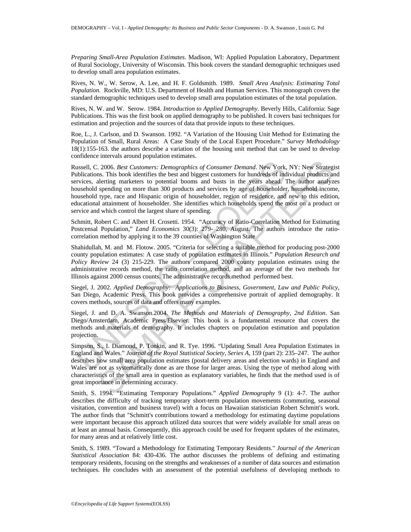*Preparing Small-Area Population Estimates*. Madison, WI: Applied Population Laboratory, Department of Rural Sociology, University of Wisconsin. This book covers the standard demographic techniques used to develop small area population estimates.

Rives, N. W., W. Serow, A. Lee, and H. F. Goldsmith. 1989. *Small Area Analysis: Estimating Total Population.* Rockville, MD: U.S. Department of Health and Human Services. This monograph covers the standard demographic techniques used to develop small area population estimates of the total population.

Rives, N. W. and W. Serow. 1984. *Introduction to Applied Demography.* Beverly Hills, California: Sage Publications. This was the first book on applied demography to be published. It covers basi techniques for estimation and projection and the sources of data that provide inputs to these techniques.

Roe, L., J. Carlson, and D. Swanson. 1992. "A Variation of the Housing Unit Method for Estimating the Population of Small, Rural Areas: A Case Study of the Local Expert Procedure." *Survey Methodology* 18(1):155-163. the authors describe a variation of the housing unit method that can be used to develop confidence intervals around population estimates.

ussell, C. 2006. *Best Customers: Demographics of Consumer Demand.* New York, ablications. This book identifies the best and biggest customers for hundreds of induced is the vervices, alering marketers to potential booms a 2006. Best Customers: Demographics of Consumer Demand. New York, NY: New Strategies, sm. This book identifies the best and biggest customers: of hundreds of individual products and services by age of householder, househol Russell, C. 2006. *Best Customers: Demographics of Consumer Demand*. New York, NY: New Strategist Publications. This book identifies the best and biggest customers for hundreds of individual products and services, alerting marketers to potential booms and busts in the years ahead. The author analyzes household spending on more than 300 products and services by age of householder, household income, household type, race and Hispanic origin of householder, region of residence, and new to this edition, educational attainment of householder. She identifies which households spend the most on a product or service and which control the largest share of spending.

Schmitt, Robert C. and Albert H. Crosetti. 1954. "Accuracy of Ratio-Correlation Method for Estimating Postcensal Population," *Land Economics* 30(3): 279- 280, August. The authors introduce the ratiocorrelation method by applying it to the 39 counties of Washington State

Shahidullah, M. and M. Flotow. 2005. "Criteria for selecting a suitable method for producing post-2000 county population estimates: A case study of population estimates in Illinois." *Population Research and Policy Review* 24 (3) 215-229. The authors compared 2000 county population estimates using the administrative records method, the ratio correlation method, and an average of the two methods for Illinois against 2000 census counts. The administrative records method performed best.

Siegel, J. 2002. *Applied Demography: Applications to Business, Government, Law and Public Policy,* San Diego, Academic Press. This book provides a comprehensive portrait of applied demography. It covers methods, sources of data and offers many examples.

Siegel, J. and D. A. Swanson.2004. *The Methods and Materials of Demography, 2nd Edition*. San Diego/Amsterdam, Academic Press/Elsevier. This book is a fundamental resource that covers the methods and materials of demography. It includes chapters on population estimation and population projection.

Simpson, S., I. Diamond, P. Tonkin, and R. Tye. 1996. "Updating Small Area Population Estimates in England and Wales." *Journal of the Royal Statistical Society, Series A*, 159 (part 2): 235–247. The author describes how small area population estimates (postal delivery areas and election wards) in England and Wales are not as systematically done as are those for larger areas. Using the type of method along with characteristics of the small area in question as explanatory variables, he finds that the method used is of great importance in determining accuracy.

Smith, S. 1994. "Estimating Temporary Populations." *Applied Demography* 9 (1): 4-7. The author describes the difficulty of tracking temporary short-term population movements (commuting, seasonal visitation, convention and business travel) with a focus on Hawaiian statistician Robert Schmitt's work. The author finds that "Schmitt's contributions toward a methodology for estimating daytime populations were important because this approach utilized data sources that were widely available for small areas on at least an annual basis. Consequently, this approach could be used for frequent updates of the estimates, for many areas and at relatively little cost.

Smith, S. 1989. "Toward a Methodology for Estimating Temporary Residents." *Journal of the American Statistical Association* 84: 430-436. The author discusses the problems of defining and estimating temporary residents, focusing on the strengths and weaknesses of a number of data sources and estimation techniques. He concludes with an assessment of the potential usefulness of developing methods to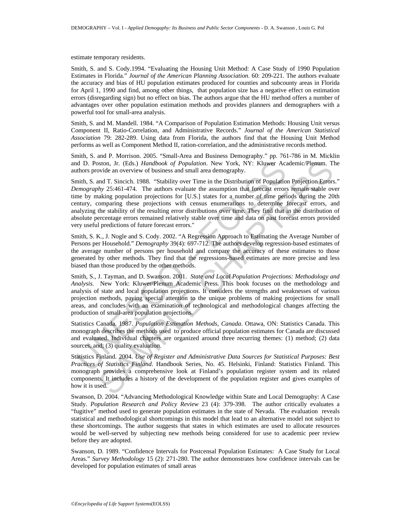estimate temporary residents.

Smith, S. and S. Cody.1994. "Evaluating the Housing Unit Method: A Case Study of 1990 Population Estimates in Florida." *Journal of the American Planning Association*. 60: 209-221. The authors evaluate the accuracy and bias of HU population estimates produced for counties and subcounty areas in Florida for April 1, 1990 and find, among other things, that population size has a negative effect on estimation errors (disregarding sign) but no effect on bias. The authors argue that the HU method offers a number of advantages over other population estimation methods and provides planners and demographers with a powerful tool for small-area analysis.

Smith, S. and M. Mandell. 1984. "A Comparison of Population Estimation Methods: Housing Unit versus Component II, Ratio-Correlation, and Administrative Records." *Journal of the American Statistical Association* 79: 282-289. Using data from Florida, the authors find that the Housing Unit Method performs as well as Component Method II, ration-correlation, and the administrative records method.

Smith, S. and P. Morrison. 2005. "Small-Area and Business Demography." pp. 761-786 in M. Micklin and D. Poston, Jr. (Eds.) *Handbook of Population*. New York, NY: Kluwer Academic/Plenum. The authors provide an overview of business and small area demography.

Ind D. Poston, Jr. (Eds.) *Handbook of Population*. New York, NY: Kluwer Accoutions provide an overview of business and small area demography. Similary or Time in the Distribution of Population intime, S. and T. Simcelin, oton, Jr. (Eds.) *Handhook of Population*. New York, NY: Kluwer Academic/Plenum. The<br>wide an overview of business and small area demography.<br>Solution T. Sinceli, 1988. "Stability over Time in the Distribution of Population Smith, S. and T. Sincich. 1988. "Stability over Time in the Distribution of Population Projection Errors." *Demography* 25:461-474. The authors evaluate the assumption that forecast errors remain stable over time by making population projections for [U.S.] states for a number of time periods during the 20th century, comparing these projections with census enumerations to determine forecast errors, and analyzing the stability of the resulting error distributions over time. They find that in the distribution of absolute percentage errors remained relatively stable over time and data on past forecast errors provided very useful predictions of future forecast errors."

Smith, S. K., J. Nogle and S. Cody. 2002. "A Regression Approach to Estimating the Average Number of Persons per Household." *Demography* 39(4): 697-712. The authors develop regression-based estimates of the average number of persons per household and compare the accuracy of these estimates to those generated by other methods. They find that the regressions-based estimates are more precise and less biased than those produced by the other methods.

Smith, S., J. Tayman, and D. Swanson. 2001. *State and Local Population Projections: Methodology and Analysis.* New York: Kluwer/Plenum Academic Press. This book focuses on the methodology and analysis of state and local population projections. It considers the strengths and weaknesses of various projection methods, paying special attention to the unique problems of making projections for small areas, and concludes with an examination of technological and methodological changes affecting the production of small-area population projections.

Statistics Canada. 1987. *Population Estimation Methods, Canada*. Ottawa, ON: Statistics Canada. This monograph describes the methods used to produce official population estimates for Canada are discussed and evaluated. Individual chapters are organized around three recurring themes: (1) method; (2) data sources, and; (3) quality evaluation.

Statistics Finland. 2004. *Use of Register and Administrative Data Sources for Statistical Purposes: Best Practices of Statistics Finland*. Handbook Series, No. 45. Helsinki, Finland: Statistics Finland. This monograph provides a comprehensive look at Finland's population register system and its related components. It includes a history of the development of the population register and gives examples of how it is used.

Swanson, D. 2004. "Advancing Methodological Knowledge within State and Local Demography: A Case Study. *Population Research and Policy Review* 23 (4): 379-398. The author critically evaluates a "fugitive" method used to generate population estimates in the state of Nevada. The evaluation reveals statistical and methodological shortcomings in this model that lead to an alternative model not subject to these shortcomings. The author suggests that states in which estimates are used to allocate resources would be well-served by subjecting new methods being considered for use to academic peer review before they are adopted.

Swanson, D. 1989. "Confidence Intervals for Postcensal Population Estimates: A Case Study for Local Areas." *Survey Methodology* 15 (2): 271-280. The author demonstrates how confidence intervals can be developed for population estimates of small areas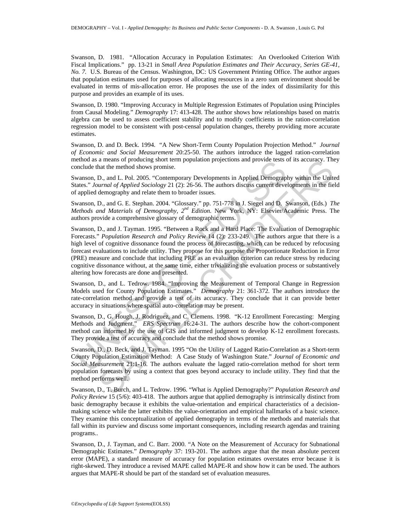Swanson, D. 1981. "Allocation Accuracy in Population Estimates: An Overlooked Criterion With Fiscal Implications." pp. 13-21 in *Small Area Population Estimates and Their Accuracy, Series GE-41, No. 7.* U.S. Bureau of the Census. Washington, DC: US Government Printing Office. The author argues that population estimates used for purposes of allocating resources in a zero sum environment should be evaluated in terms of mis-allocation error. He proposes the use of the index of dissimilarity for this purpose and provides an example of its uses.

Swanson, D. 1980. "Improving Accuracy in Multiple Regression Estimates of Population using Principles from Causal Modeling." *Demography* 17: 413-428. The author shows how relationships based on matrix algebra can be used to assess coefficient stability and to modify coefficients in the ration-correlation regression model to be consistent with post-censal population changes, thereby providing more accurate estimates.

Swanson, D. and D. Beck. 1994. "A New Short-Term County Population Projection Method." *Journal of Economic and Social Measurement* 20:25-50. The authors introduce the lagged ration-correlation method as a means of producing short term population projections and provide tests of its accuracy. They conclude that the method shows promise.

Swanson, D., and L. Pol. 2005. "Contemporary Developments in Applied Demography within the United States." *Journal of Applied Sociology* 21 (2): 26-56. The authors discuss current developments in the field of applied demography and relate them to broader issues.

Swanson, D., and G. E. Stephan. 2004. "Glossary." pp. 751-778 in J. Siegel and D. Swanson, (Eds.) *The Methods and Materials of Demography*, *2nd Edition.* New York, NY: Elsevier/Academic Press. The authors provide a comprehensive glossary of demographic terms.

enous as a means of producing short emit population projections and provide usins<br>onclude that the method shows promise.<br>wanson, D., and L. Pol. 2005. "Contemporary Developments in Applied Demograph<br>ates." Journal of Appl a means or producing short term population projections and provide tests of its accuracy. In<br>an time method shows promise.<br>
D., and L. Pol. 2005. "Contemporary Developments in Applied Demography within the Unit<br>
urand of A Swanson, D., and J. Tayman. 1995. "Between a Rock and a Hard Place: The Evaluation of Demographic Forecasts." *Population Research and Policy Review* 14 (2): 233-249. The authors argue that there is a high level of cognitive dissonance found the process of forecasting, which can be reduced by refocusing forecast evaluations to include utility. They propose for this purpose the Proportionate Reduction in Error (PRE) measure and conclude that including PRE as an evaluation criterion can reduce stress by reducing cognitive dissonance without, at the same time, either trivializing the evaluation process or substantively altering how forecasts are done and presented.

Swanson, D., and L. Tedrow. 1984. "Improving the Measurement of Temporal Change in Regression Models used for County Population Estimates." *Demography* 21: 361-372. The authors introduce the rate-correlation method and provide a test of its accuracy. They conclude that it can provide better accuracy in situations where spatial auto-correlation may be present.

Swanson, D., G. Hough, J. Rodriguez, and C. Clemens. 1998. "K-12 Enrollment Forecasting: Merging Methods and Judgment." *ERS Spectrum* 16:24-31. The authors describe how the cohort-component method can informed by the use of GIS and informed judgment to develop K-12 enrollment forecasts. They provide a test of accuracy and conclude that the method shows promise.

Swanson, D., D. Beck, and J. Tayman. 1995 "On the Utility of Lagged Ratio-Correlation as a Short-term County Population Estimation Method: A Case Study of Washington State." *Journal of Economic and Social Measurement* 21:1-16. The authors evaluate the lagged ratio-correlation method for short term population forecasts by using a context that goes beyond accuracy to include utility. They find that the method performs well.

Swanson, D., T. Burch, and L. Tedrow. 1996. "What is Applied Demography?" *Population Research and Policy Review* 15 (5/6): 403-418. The authors argue that applied demography is intrinsically distinct from basic demography because it exhibits the value-orientation and empirical characteristics of a decisionmaking science while the latter exhibits the value-orientation and empirical hallmarks of a basic science. They examine this conceptualization of applied demography in terms of the methods and materials that fall within its purview and discuss some important consequences, including research agendas and training programs..

Swanson, D., J. Tayman, and C. Barr. 2000. "A Note on the Measurement of Accuracy for Subnational Demographic Estimates." *Demography* 37: 193-201. The authors argue that the mean absolute percent error (MAPE), a standard measure of accuracy for population estimates overstates error because it is right-skewed. They introduce a revised MAPE called MAPE-R and show how it can be used. The authors argues that MAPE-R should be part of the standard set of evaluation measures.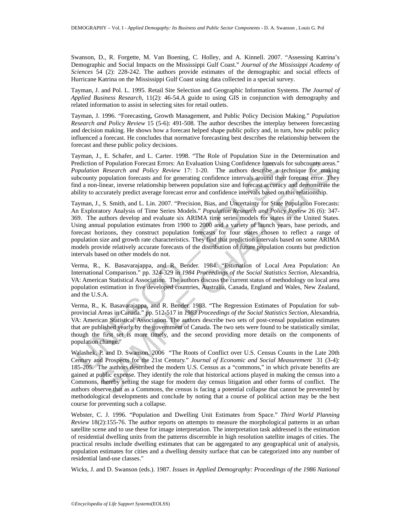Swanson, D., R. Forgette, M. Van Boening, C. Holley, and A. Kinnell. 2007. "Assessing Katrina's Demographic and Social Impacts on the Mississippi Gulf Coast." *Journal of the Mississippi Academy of Sciences* 54 (2): 228-242. The authors provide estimates of the demographic and social effects of Hurricane Katrina on the Mississippi Gulf Coast using data collected in a special survey.

Tayman, J. and Pol. L. 1995. Retail Site Selection and Geographic Information Systems. *The Journal of Applied Business Research*, 11(2): 46-54.A guide to using GIS in conjunction with demography and related information to assist in selecting sites for retail outlets.

Tayman, J. 1996. "Forecasting, Growth Management, and Public Policy Decision Making." *Population Research and Policy Review* 15 (5-6): 491-508. The author describes the interplay between forecasting and decision making. He shows how a forecast helped shape public policy and, in turn, how public policy influenced a forecast. He concludes that normative forecasting best describes the relationship between the forecast and these public policy decisions.

Tayman, J., E. Schafer, and L. Carter. 1998. "The Role of Population Size in the Determination and Prediction of Population Forecast Errors: An Evaluation Using Confidence Intervals for subcounty areas." *Population Research and Policy Review* 17: 1-20. The authors describe a technique for making subcounty population forecasts and for generating confidence intervals around their forecast error. They find a non-linear, inverse relationship between population size and forecast accuracy and demonstrate the ability to accurately predict average forecast error and confidence intervals based on this relationship.

rediction of Population Forecast Errors: An Evaluation Using Confidence Intervals for<br>polation Research and Policy Review 17: 1-20. The authors describe a tect<br>outy population forecasts and for generating confidence interv of Population Forecast Errors: An Evaluation Using Confidence Intervals for subcounty areas<br>*Research and Policy Review* 17: 1-20. The authors describe a technique for making<br>nopulation forecasts and for generating confid Tayman, J., S. Smith, and L. Lin. 2007. "Precision, Bias, and Uncertainty for State Population Forecasts: An Exploratory Analysis of Time Series Models." *Population Research and Policy Review* 26 (6): 347- 369. The authors develop and evaluate six ARIMA time series models for states in the United States. Using annual population estimates from 1900 to 2000 and a variety of launch years, base periods, and forecast horizons, they construct population forecasts for four states chosen to reflect a range of population size and growth rate characteristics. They find that prediction intervals based on some ARIMA models provide relatively accurate forecasts of the distribution of future population counts but prediction intervals based on other models do not.

Verma, R., K. Basavarajappa, and R. Bender. 1984. "Estimation of Local Area Population: An International Comparison." pp. 324-329 in *1984 Proceedings of the Social Statistics Section*, Alexandria, VA: American Statistical Association. The authors discuss the current status of methodology on local area population estimation in five developed countries, Australia, Canada, England and Wales, New Zealand, and the U.S.A.

Verma, R., K. Basavarajappa, and R. Bender. 1983. "The Regression Estimates of Population for subprovincial Areas in Canada." pp. 512-517 in *1983 Proceedings of the Social Statistics Section*, Alexandria, VA: American Statistical Association. The authors describe two sets of post-censal population estimates that are published yearly by the government of Canada. The two sets were found to be statistically similar, though the first set is more timely, and the second providing more details on the components of population change."

Walashek, P. and D. Swanson. 2006 "The Roots of Conflict over U.S. Census Counts in the Late 20th Century and Prospects for the 21st Century." *Journal of Economic and Social Measurement* 31 (3-4): 185-205. The authors described the modern U.S. Census as a "commons," in which private benefits are gained at public expense. They identify the role that historical actions played in making the census into a Commons, thereby setting the stage for modern day census litigation and other forms of conflict. The authors observe that as a Commons, the census is facing a potential collapse that cannot be prevented by methodological developments and conclude by noting that a course of political action may be the best course for preventing such a collapse.

Webster, C. J. 1996. "Population and Dwelling Unit Estimates from Space." *Third World Planning Review* 18(2):155-76. The author reports on attempts to measure the morphological patterns in an urban satellite scene and to use these for image interpretation. The interpretation task addressed is the estimation of residential dwelling units from the patterns discernible in high resolution satellite images of cities. The practical results include dwelling estimates that can be aggregated to any geographical unit of analysis, population estimates for cities and a dwelling density surface that can be categorized into any number of residential land-use classes."

Wicks, J. and D. Swanson (eds.). 1987. *Issues in Applied Demography: Proceedings of the 1986 National*